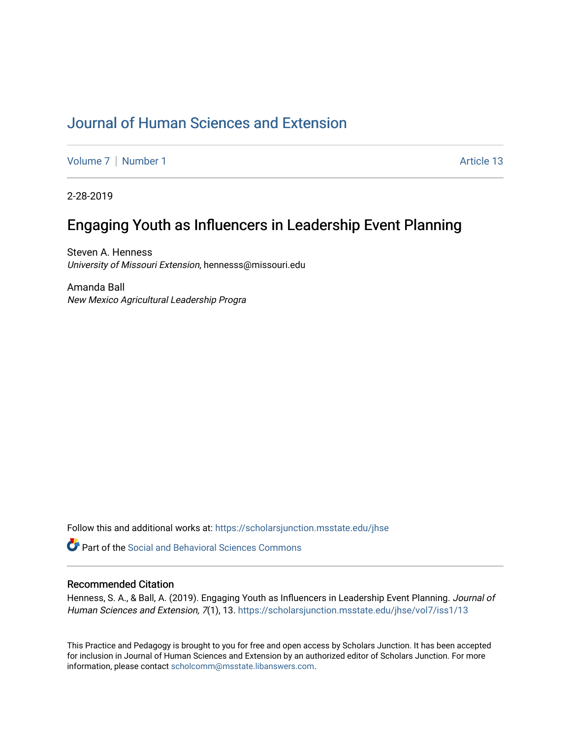# [Journal of Human Sciences and Extension](https://scholarsjunction.msstate.edu/jhse)

[Volume 7](https://scholarsjunction.msstate.edu/jhse/vol7) | [Number 1](https://scholarsjunction.msstate.edu/jhse/vol7/iss1) Article 13

2-28-2019

# Engaging Youth as Influencers in Leadership Event Planning

Steven A. Henness University of Missouri Extension, hennesss@missouri.edu

Amanda Ball New Mexico Agricultural Leadership Progra

Follow this and additional works at: [https://scholarsjunction.msstate.edu/jhse](https://scholarsjunction.msstate.edu/jhse?utm_source=scholarsjunction.msstate.edu%2Fjhse%2Fvol7%2Fiss1%2F13&utm_medium=PDF&utm_campaign=PDFCoverPages)

**C** Part of the Social and Behavioral Sciences Commons

#### Recommended Citation

Henness, S. A., & Ball, A. (2019). Engaging Youth as Influencers in Leadership Event Planning. Journal of Human Sciences and Extension, 7(1), 13. [https://scholarsjunction.msstate.edu/jhse/vol7/iss1/13](https://scholarsjunction.msstate.edu/jhse/vol7/iss1/13?utm_source=scholarsjunction.msstate.edu%2Fjhse%2Fvol7%2Fiss1%2F13&utm_medium=PDF&utm_campaign=PDFCoverPages)

This Practice and Pedagogy is brought to you for free and open access by Scholars Junction. It has been accepted for inclusion in Journal of Human Sciences and Extension by an authorized editor of Scholars Junction. For more information, please contact [scholcomm@msstate.libanswers.com](mailto:scholcomm@msstate.libanswers.com).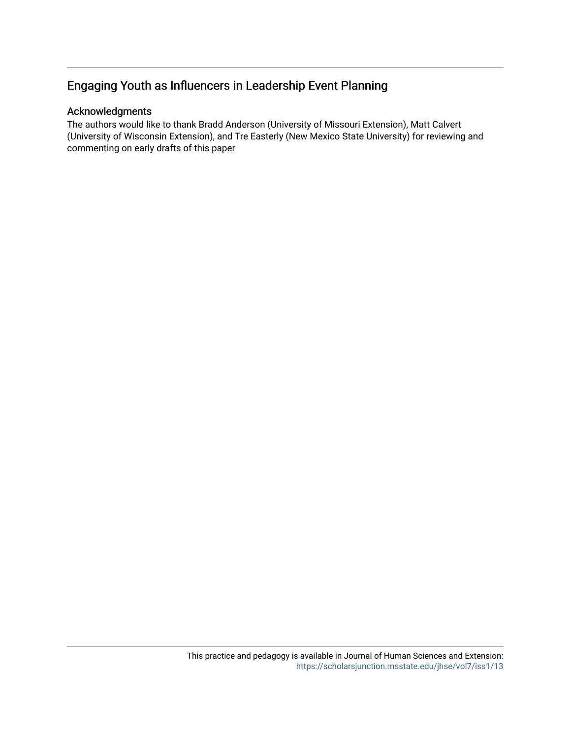# Engaging Youth as Influencers in Leadership Event Planning

# Acknowledgments

The authors would like to thank Bradd Anderson (University of Missouri Extension), Matt Calvert (University of Wisconsin Extension), and Tre Easterly (New Mexico State University) for reviewing and commenting on early drafts of this paper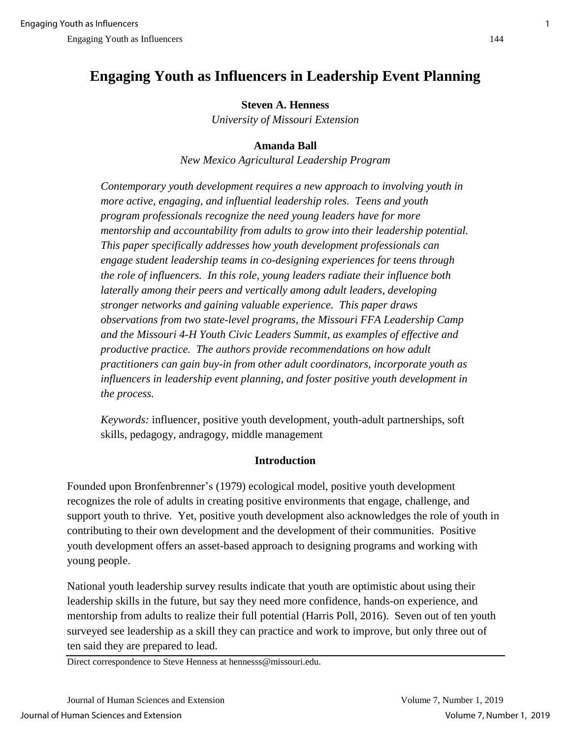# **Engaging Youth as Influencers in Leadership Event Planning**

# **Steven A. Henness**

*University of Missouri Extension*

# **Amanda Ball**

*New Mexico Agricultural Leadership Program*

*Contemporary youth development requires a new approach to involving youth in more active, engaging, and influential leadership roles. Teens and youth program professionals recognize the need young leaders have for more mentorship and accountability from adults to grow into their leadership potential. This paper specifically addresses how youth development professionals can engage student leadership teams in co-designing experiences for teens through the role of influencers. In this role, young leaders radiate their influence both laterally among their peers and vertically among adult leaders, developing stronger networks and gaining valuable experience. This paper draws observations from two state-level programs, the Missouri FFA Leadership Camp and the Missouri 4-H Youth Civic Leaders Summit, as examples of effective and productive practice. The authors provide recommendations on how adult practitioners can gain buy-in from other adult coordinators, incorporate youth as influencers in leadership event planning, and foster positive youth development in the process.*

*Keywords:* influencer, positive youth development, youth-adult partnerships, soft skills, pedagogy, andragogy, middle management

# **Introduction**

Founded upon Bronfenbrenner's (1979) ecological model, positive youth development recognizes the role of adults in creating positive environments that engage, challenge, and support youth to thrive. Yet, positive youth development also acknowledges the role of youth in contributing to their own development and the development of their communities. Positive youth development offers an asset-based approach to designing programs and working with young people.

National youth leadership survey results indicate that youth are optimistic about using their leadership skills in the future, but say they need more confidence, hands-on experience, and mentorship from adults to realize their full potential (Harris Poll, 2016). Seven out of ten youth surveyed see leadership as a skill they can practice and work to improve, but only three out of ten said they are prepared to lead.

Direct correspondence to Steve Henness at hennesss@missouri.edu.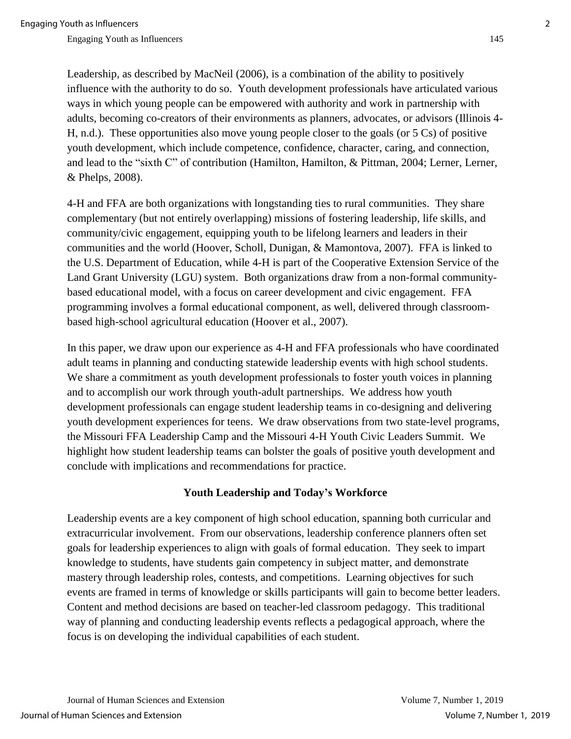Leadership, as described by MacNeil (2006), is a combination of the ability to positively influence with the authority to do so. Youth development professionals have articulated various ways in which young people can be empowered with authority and work in partnership with adults, becoming co-creators of their environments as planners, advocates, or advisors (Illinois 4- H, n.d.). These opportunities also move young people closer to the goals (or 5 Cs) of positive youth development, which include competence, confidence, character, caring, and connection, and lead to the "sixth C" of contribution (Hamilton, Hamilton, & Pittman, 2004; Lerner, Lerner, & Phelps, 2008).

4-H and FFA are both organizations with longstanding ties to rural communities. They share complementary (but not entirely overlapping) missions of fostering leadership, life skills, and community/civic engagement, equipping youth to be lifelong learners and leaders in their communities and the world (Hoover, Scholl, Dunigan, & Mamontova, 2007). FFA is linked to the U.S. Department of Education, while 4-H is part of the Cooperative Extension Service of the Land Grant University (LGU) system. Both organizations draw from a non-formal communitybased educational model, with a focus on career development and civic engagement. FFA programming involves a formal educational component, as well, delivered through classroombased high-school agricultural education (Hoover et al., 2007).

In this paper, we draw upon our experience as 4-H and FFA professionals who have coordinated adult teams in planning and conducting statewide leadership events with high school students. We share a commitment as youth development professionals to foster youth voices in planning and to accomplish our work through youth-adult partnerships. We address how youth development professionals can engage student leadership teams in co-designing and delivering youth development experiences for teens. We draw observations from two state-level programs, the Missouri FFA Leadership Camp and the Missouri 4-H Youth Civic Leaders Summit. We highlight how student leadership teams can bolster the goals of positive youth development and conclude with implications and recommendations for practice.

#### **Youth Leadership and Today's Workforce**

Leadership events are a key component of high school education, spanning both curricular and extracurricular involvement. From our observations, leadership conference planners often set goals for leadership experiences to align with goals of formal education. They seek to impart knowledge to students, have students gain competency in subject matter, and demonstrate mastery through leadership roles, contests, and competitions. Learning objectives for such events are framed in terms of knowledge or skills participants will gain to become better leaders. Content and method decisions are based on teacher-led classroom pedagogy. This traditional way of planning and conducting leadership events reflects a pedagogical approach, where the focus is on developing the individual capabilities of each student.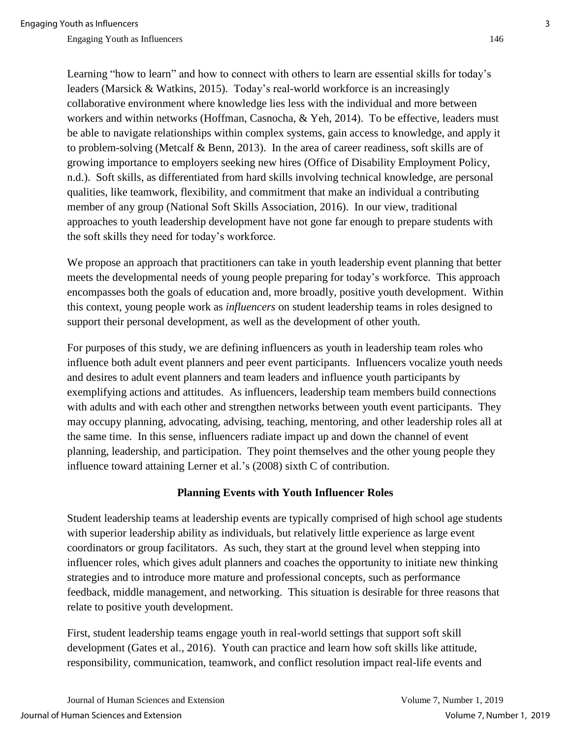Learning "how to learn" and how to connect with others to learn are essential skills for today's leaders (Marsick & Watkins, 2015). Today's real-world workforce is an increasingly collaborative environment where knowledge lies less with the individual and more between workers and within networks (Hoffman, Casnocha, & Yeh, 2014). To be effective, leaders must be able to navigate relationships within complex systems, gain access to knowledge, and apply it to problem-solving (Metcalf & Benn, 2013). In the area of career readiness, soft skills are of growing importance to employers seeking new hires (Office of Disability Employment Policy, n.d.). Soft skills, as differentiated from hard skills involving technical knowledge, are personal qualities, like teamwork, flexibility, and commitment that make an individual a contributing member of any group (National Soft Skills Association, 2016). In our view, traditional approaches to youth leadership development have not gone far enough to prepare students with the soft skills they need for today's workforce.

We propose an approach that practitioners can take in youth leadership event planning that better meets the developmental needs of young people preparing for today's workforce. This approach encompasses both the goals of education and, more broadly, positive youth development. Within this context, young people work as *influencers* on student leadership teams in roles designed to support their personal development, as well as the development of other youth.

For purposes of this study, we are defining influencers as youth in leadership team roles who influence both adult event planners and peer event participants. Influencers vocalize youth needs and desires to adult event planners and team leaders and influence youth participants by exemplifying actions and attitudes. As influencers, leadership team members build connections with adults and with each other and strengthen networks between youth event participants. They may occupy planning, advocating, advising, teaching, mentoring, and other leadership roles all at the same time. In this sense, influencers radiate impact up and down the channel of event planning, leadership, and participation. They point themselves and the other young people they influence toward attaining Lerner et al.'s (2008) sixth C of contribution.

#### **Planning Events with Youth Influencer Roles**

Student leadership teams at leadership events are typically comprised of high school age students with superior leadership ability as individuals, but relatively little experience as large event coordinators or group facilitators. As such, they start at the ground level when stepping into influencer roles, which gives adult planners and coaches the opportunity to initiate new thinking strategies and to introduce more mature and professional concepts, such as performance feedback, middle management, and networking. This situation is desirable for three reasons that relate to positive youth development.

First, student leadership teams engage youth in real-world settings that support soft skill development (Gates et al., 2016). Youth can practice and learn how soft skills like attitude, responsibility, communication, teamwork, and conflict resolution impact real-life events and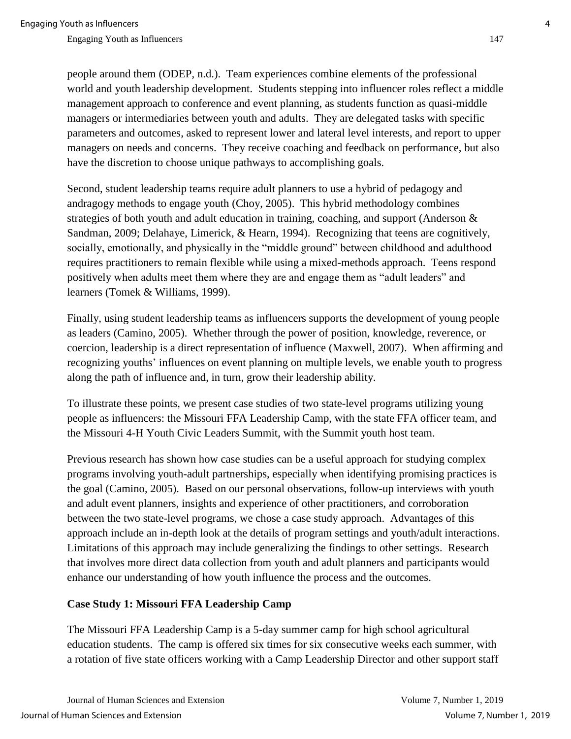people around them (ODEP, n.d.). Team experiences combine elements of the professional world and youth leadership development. Students stepping into influencer roles reflect a middle management approach to conference and event planning, as students function as quasi-middle managers or intermediaries between youth and adults. They are delegated tasks with specific parameters and outcomes, asked to represent lower and lateral level interests, and report to upper managers on needs and concerns. They receive coaching and feedback on performance, but also have the discretion to choose unique pathways to accomplishing goals.

Second, student leadership teams require adult planners to use a hybrid of pedagogy and andragogy methods to engage youth (Choy, 2005). This hybrid methodology combines strategies of both youth and adult education in training, coaching, and support (Anderson & Sandman, 2009; Delahaye, Limerick, & Hearn, 1994). Recognizing that teens are cognitively, socially, emotionally, and physically in the "middle ground" between childhood and adulthood requires practitioners to remain flexible while using a mixed-methods approach. Teens respond positively when adults meet them where they are and engage them as "adult leaders" and learners (Tomek & Williams, 1999).

Finally, using student leadership teams as influencers supports the development of young people as leaders (Camino, 2005). Whether through the power of position, knowledge, reverence, or coercion, leadership is a direct representation of influence (Maxwell, 2007). When affirming and recognizing youths' influences on event planning on multiple levels, we enable youth to progress along the path of influence and, in turn, grow their leadership ability.

To illustrate these points, we present case studies of two state-level programs utilizing young people as influencers: the Missouri FFA Leadership Camp, with the state FFA officer team, and the Missouri 4-H Youth Civic Leaders Summit, with the Summit youth host team.

Previous research has shown how case studies can be a useful approach for studying complex programs involving youth-adult partnerships, especially when identifying promising practices is the goal (Camino, 2005). Based on our personal observations, follow-up interviews with youth and adult event planners, insights and experience of other practitioners, and corroboration between the two state-level programs, we chose a case study approach. Advantages of this approach include an in-depth look at the details of program settings and youth/adult interactions. Limitations of this approach may include generalizing the findings to other settings. Research that involves more direct data collection from youth and adult planners and participants would enhance our understanding of how youth influence the process and the outcomes.

# **Case Study 1: Missouri FFA Leadership Camp**

The Missouri FFA Leadership Camp is a 5-day summer camp for high school agricultural education students. The camp is offered six times for six consecutive weeks each summer, with a rotation of five state officers working with a Camp Leadership Director and other support staff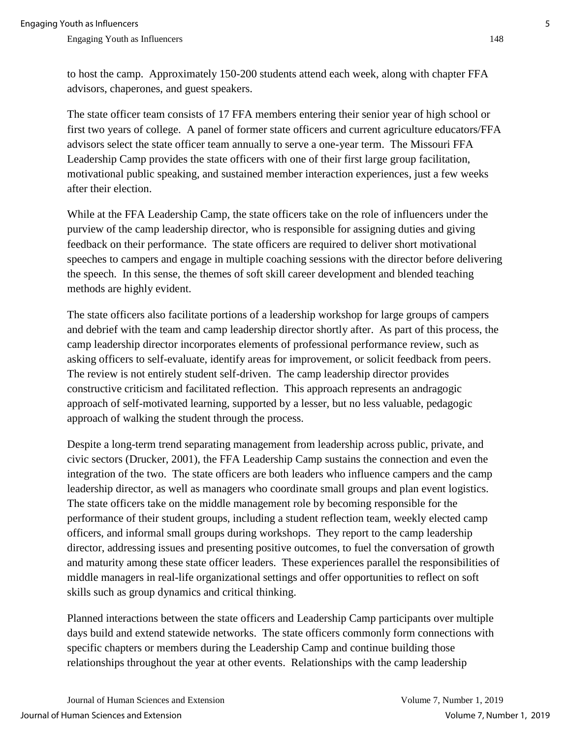to host the camp. Approximately 150-200 students attend each week, along with chapter FFA advisors, chaperones, and guest speakers.

The state officer team consists of 17 FFA members entering their senior year of high school or first two years of college. A panel of former state officers and current agriculture educators/FFA advisors select the state officer team annually to serve a one-year term. The Missouri FFA Leadership Camp provides the state officers with one of their first large group facilitation, motivational public speaking, and sustained member interaction experiences, just a few weeks after their election.

While at the FFA Leadership Camp, the state officers take on the role of influencers under the purview of the camp leadership director, who is responsible for assigning duties and giving feedback on their performance. The state officers are required to deliver short motivational speeches to campers and engage in multiple coaching sessions with the director before delivering the speech. In this sense, the themes of soft skill career development and blended teaching methods are highly evident.

The state officers also facilitate portions of a leadership workshop for large groups of campers and debrief with the team and camp leadership director shortly after. As part of this process, the camp leadership director incorporates elements of professional performance review, such as asking officers to self-evaluate, identify areas for improvement, or solicit feedback from peers. The review is not entirely student self-driven. The camp leadership director provides constructive criticism and facilitated reflection. This approach represents an andragogic approach of self-motivated learning, supported by a lesser, but no less valuable, pedagogic approach of walking the student through the process.

Despite a long-term trend separating management from leadership across public, private, and civic sectors (Drucker, 2001), the FFA Leadership Camp sustains the connection and even the integration of the two. The state officers are both leaders who influence campers and the camp leadership director, as well as managers who coordinate small groups and plan event logistics. The state officers take on the middle management role by becoming responsible for the performance of their student groups, including a student reflection team, weekly elected camp officers, and informal small groups during workshops. They report to the camp leadership director, addressing issues and presenting positive outcomes, to fuel the conversation of growth and maturity among these state officer leaders. These experiences parallel the responsibilities of middle managers in real-life organizational settings and offer opportunities to reflect on soft skills such as group dynamics and critical thinking.

Planned interactions between the state officers and Leadership Camp participants over multiple days build and extend statewide networks. The state officers commonly form connections with specific chapters or members during the Leadership Camp and continue building those relationships throughout the year at other events. Relationships with the camp leadership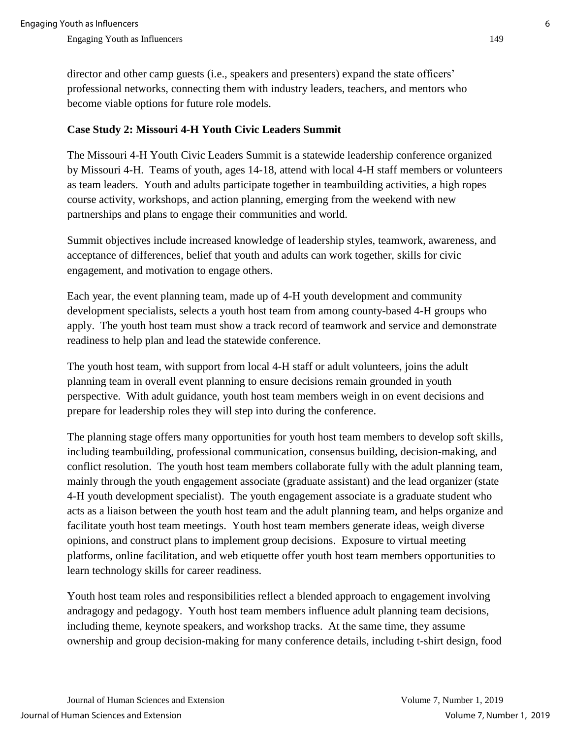director and other camp guests (i.e., speakers and presenters) expand the state officers' professional networks, connecting them with industry leaders, teachers, and mentors who become viable options for future role models.

# **Case Study 2: Missouri 4-H Youth Civic Leaders Summit**

The Missouri 4-H Youth Civic Leaders Summit is a statewide leadership conference organized by Missouri 4-H. Teams of youth, ages 14-18, attend with local 4-H staff members or volunteers as team leaders. Youth and adults participate together in teambuilding activities, a high ropes course activity, workshops, and action planning, emerging from the weekend with new partnerships and plans to engage their communities and world.

Summit objectives include increased knowledge of leadership styles, teamwork, awareness, and acceptance of differences, belief that youth and adults can work together, skills for civic engagement, and motivation to engage others.

Each year, the event planning team, made up of 4-H youth development and community development specialists, selects a youth host team from among county-based 4-H groups who apply. The youth host team must show a track record of teamwork and service and demonstrate readiness to help plan and lead the statewide conference.

The youth host team, with support from local 4-H staff or adult volunteers, joins the adult planning team in overall event planning to ensure decisions remain grounded in youth perspective. With adult guidance, youth host team members weigh in on event decisions and prepare for leadership roles they will step into during the conference.

The planning stage offers many opportunities for youth host team members to develop soft skills, including teambuilding, professional communication, consensus building, decision-making, and conflict resolution. The youth host team members collaborate fully with the adult planning team, mainly through the youth engagement associate (graduate assistant) and the lead organizer (state 4-H youth development specialist). The youth engagement associate is a graduate student who acts as a liaison between the youth host team and the adult planning team, and helps organize and facilitate youth host team meetings. Youth host team members generate ideas, weigh diverse opinions, and construct plans to implement group decisions. Exposure to virtual meeting platforms, online facilitation, and web etiquette offer youth host team members opportunities to learn technology skills for career readiness.

Youth host team roles and responsibilities reflect a blended approach to engagement involving andragogy and pedagogy. Youth host team members influence adult planning team decisions, including theme, keynote speakers, and workshop tracks. At the same time, they assume ownership and group decision-making for many conference details, including t-shirt design, food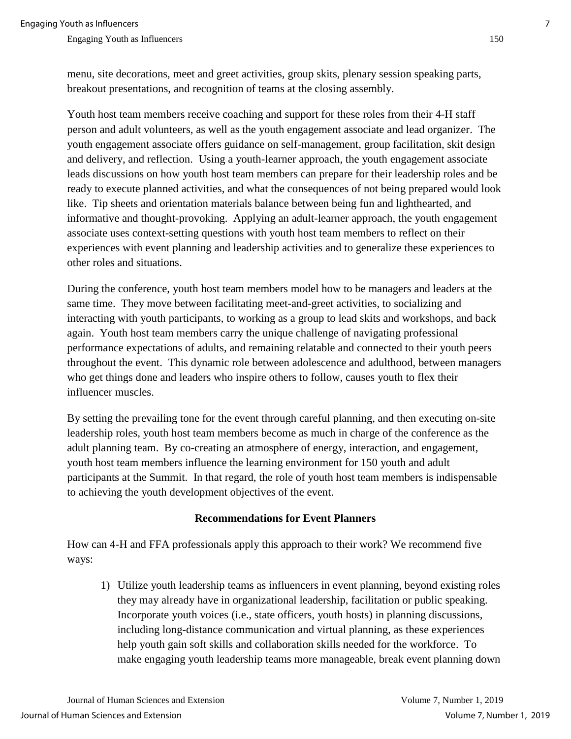menu, site decorations, meet and greet activities, group skits, plenary session speaking parts, breakout presentations, and recognition of teams at the closing assembly.

Youth host team members receive coaching and support for these roles from their 4-H staff person and adult volunteers, as well as the youth engagement associate and lead organizer. The youth engagement associate offers guidance on self-management, group facilitation, skit design and delivery, and reflection. Using a youth-learner approach, the youth engagement associate leads discussions on how youth host team members can prepare for their leadership roles and be ready to execute planned activities, and what the consequences of not being prepared would look like. Tip sheets and orientation materials balance between being fun and lighthearted, and informative and thought-provoking. Applying an adult-learner approach, the youth engagement associate uses context-setting questions with youth host team members to reflect on their experiences with event planning and leadership activities and to generalize these experiences to other roles and situations.

During the conference, youth host team members model how to be managers and leaders at the same time. They move between facilitating meet-and-greet activities, to socializing and interacting with youth participants, to working as a group to lead skits and workshops, and back again. Youth host team members carry the unique challenge of navigating professional performance expectations of adults, and remaining relatable and connected to their youth peers throughout the event. This dynamic role between adolescence and adulthood, between managers who get things done and leaders who inspire others to follow, causes youth to flex their influencer muscles.

By setting the prevailing tone for the event through careful planning, and then executing on-site leadership roles, youth host team members become as much in charge of the conference as the adult planning team. By co-creating an atmosphere of energy, interaction, and engagement, youth host team members influence the learning environment for 150 youth and adult participants at the Summit. In that regard, the role of youth host team members is indispensable to achieving the youth development objectives of the event.

#### **Recommendations for Event Planners**

How can 4-H and FFA professionals apply this approach to their work? We recommend five ways:

1) Utilize youth leadership teams as influencers in event planning, beyond existing roles they may already have in organizational leadership, facilitation or public speaking. Incorporate youth voices (i.e., state officers, youth hosts) in planning discussions, including long-distance communication and virtual planning, as these experiences help youth gain soft skills and collaboration skills needed for the workforce. To make engaging youth leadership teams more manageable, break event planning down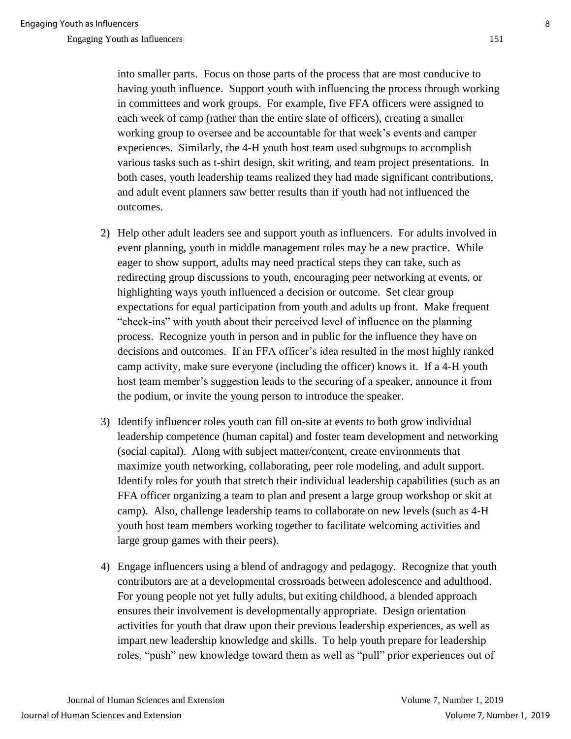into smaller parts. Focus on those parts of the process that are most conducive to having youth influence. Support youth with influencing the process through working in committees and work groups. For example, five FFA officers were assigned to each week of camp (rather than the entire slate of officers), creating a smaller working group to oversee and be accountable for that week's events and camper experiences. Similarly, the 4-H youth host team used subgroups to accomplish various tasks such as t-shirt design, skit writing, and team project presentations. In both cases, youth leadership teams realized they had made significant contributions, and adult event planners saw better results than if youth had not influenced the outcomes.

- 2) Help other adult leaders see and support youth as influencers. For adults involved in event planning, youth in middle management roles may be a new practice. While eager to show support, adults may need practical steps they can take, such as redirecting group discussions to youth, encouraging peer networking at events, or highlighting ways youth influenced a decision or outcome. Set clear group expectations for equal participation from youth and adults up front. Make frequent "check-ins" with youth about their perceived level of influence on the planning process. Recognize youth in person and in public for the influence they have on decisions and outcomes. If an FFA officer's idea resulted in the most highly ranked camp activity, make sure everyone (including the officer) knows it. If a 4-H youth host team member's suggestion leads to the securing of a speaker, announce it from the podium, or invite the young person to introduce the speaker.
- 3) Identify influencer roles youth can fill on-site at events to both grow individual leadership competence (human capital) and foster team development and networking (social capital). Along with subject matter/content, create environments that maximize youth networking, collaborating, peer role modeling, and adult support. Identify roles for youth that stretch their individual leadership capabilities (such as an FFA officer organizing a team to plan and present a large group workshop or skit at camp). Also, challenge leadership teams to collaborate on new levels (such as 4-H youth host team members working together to facilitate welcoming activities and large group games with their peers).
- 4) Engage influencers using a blend of andragogy and pedagogy. Recognize that youth contributors are at a developmental crossroads between adolescence and adulthood. For young people not yet fully adults, but exiting childhood, a blended approach ensures their involvement is developmentally appropriate. Design orientation activities for youth that draw upon their previous leadership experiences, as well as impart new leadership knowledge and skills. To help youth prepare for leadership roles, "push" new knowledge toward them as well as "pull" prior experiences out of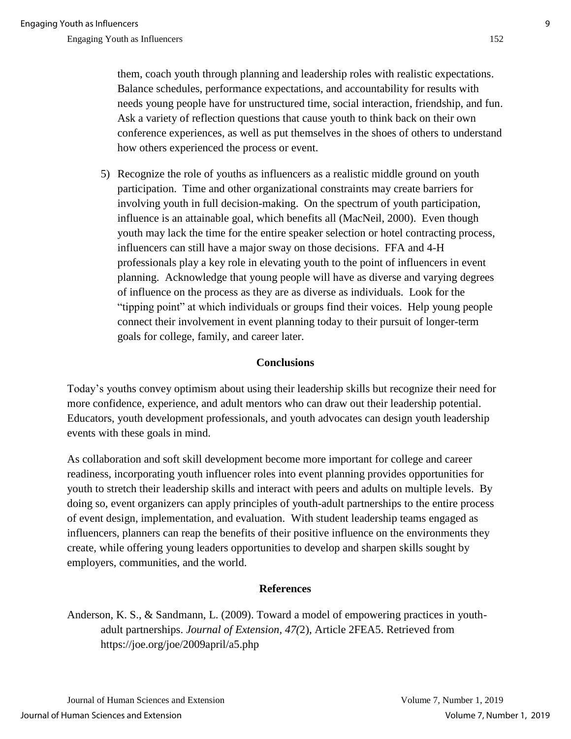them, coach youth through planning and leadership roles with realistic expectations. Balance schedules, performance expectations, and accountability for results with needs young people have for unstructured time, social interaction, friendship, and fun. Ask a variety of reflection questions that cause youth to think back on their own conference experiences, as well as put themselves in the shoes of others to understand how others experienced the process or event.

5) Recognize the role of youths as influencers as a realistic middle ground on youth participation. Time and other organizational constraints may create barriers for involving youth in full decision-making. On the spectrum of youth participation, influence is an attainable goal, which benefits all (MacNeil, 2000). Even though youth may lack the time for the entire speaker selection or hotel contracting process, influencers can still have a major sway on those decisions. FFA and 4-H professionals play a key role in elevating youth to the point of influencers in event planning. Acknowledge that young people will have as diverse and varying degrees of influence on the process as they are as diverse as individuals. Look for the "tipping point" at which individuals or groups find their voices. Help young people connect their involvement in event planning today to their pursuit of longer-term goals for college, family, and career later.

# **Conclusions**

Today's youths convey optimism about using their leadership skills but recognize their need for more confidence, experience, and adult mentors who can draw out their leadership potential. Educators, youth development professionals, and youth advocates can design youth leadership events with these goals in mind.

As collaboration and soft skill development become more important for college and career readiness, incorporating youth influencer roles into event planning provides opportunities for youth to stretch their leadership skills and interact with peers and adults on multiple levels. By doing so, event organizers can apply principles of youth-adult partnerships to the entire process of event design, implementation, and evaluation. With student leadership teams engaged as influencers, planners can reap the benefits of their positive influence on the environments they create, while offering young leaders opportunities to develop and sharpen skills sought by employers, communities, and the world.

# **References**

Anderson, K. S., & Sandmann, L. (2009). Toward a model of empowering practices in youthadult partnerships. *Journal of Extension, 47(*2), Article 2FEA5. Retrieved from https://joe.org/joe/2009april/a5.php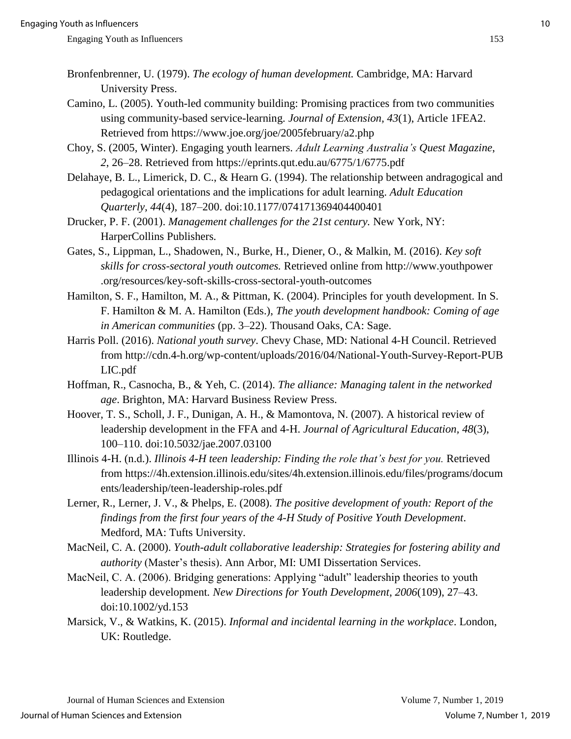- Bronfenbrenner, U. (1979). *The ecology of human development.* Cambridge, MA: Harvard University Press.
- Camino, L. (2005). Youth-led community building: Promising practices from two communities using community-based service-learning. *Journal of Extension, 43*(1), Article 1FEA2. Retrieved from https://www.joe.org/joe/2005february/a2.php
- Choy, S. (2005, Winter). Engaging youth learners. *Adult Learning Australia's Quest Magazine*, *2*, 26–28. Retrieved from https://eprints.qut.edu.au/6775/1/6775.pdf
- Delahaye, B. L., Limerick, D. C., & Hearn G. (1994). The relationship between andragogical and pedagogical orientations and the implications for adult learning. *Adult Education Quarterly, 44*(4), 187–200. doi:10.1177/074171369404400401
- Drucker, P. F. (2001). *Management challenges for the 21st century.* New York, NY: HarperCollins Publishers.
- Gates, S., Lippman, L., Shadowen, N., Burke, H., Diener, O., & Malkin, M. (2016). *Key soft skills for cross-sectoral youth outcomes.* Retrieved online from http://www.youthpower .org/resources/key-soft-skills-cross-sectoral-youth-outcomes
- Hamilton, S. F., Hamilton, M. A., & Pittman, K. (2004). Principles for youth development. In S. F. Hamilton & M. A. Hamilton (Eds.), *The youth development handbook: Coming of age in American communities* (pp. 3–22). Thousand Oaks, CA: Sage.
- Harris Poll. (2016). *National youth survey*. Chevy Chase, MD: National 4-H Council. Retrieved from http://cdn.4-h.org/wp-content/uploads/2016/04/National-Youth-Survey-Report-PUB LIC.pdf
- Hoffman, R., Casnocha, B., & Yeh, C. (2014). *The alliance: Managing talent in the networked age*. Brighton, MA: Harvard Business Review Press.
- Hoover, T. S., Scholl, J. F., Dunigan, A. H., & Mamontova, N. (2007). A historical review of leadership development in the FFA and 4-H. *Journal of Agricultural Education, 48*(3), 100–110. doi:10.5032/jae.2007.03100
- Illinois 4-H. (n.d.). *Illinois 4-H teen leadership: Finding the role that's best for you.* Retrieved from https://4h.extension.illinois.edu/sites/4h.extension.illinois.edu/files/programs/docum ents/leadership/teen-leadership-roles.pdf
- Lerner, R., Lerner, J. V., & Phelps, E. (2008). *The positive development of youth: Report of the findings from the first four years of the 4-H Study of Positive Youth Development*. Medford, MA: Tufts University.
- MacNeil, C. A. (2000). *Youth-adult collaborative leadership: Strategies for fostering ability and authority* (Master's thesis). Ann Arbor, MI: UMI Dissertation Services.
- MacNeil, C. A. (2006). Bridging generations: Applying "adult" leadership theories to youth leadership development*. New Directions for Youth Development*, *2006*(109), 27–43. doi:10.1002/yd.153
- Marsick, V., & Watkins, K. (2015). *Informal and incidental learning in the workplace*. London, UK: Routledge.